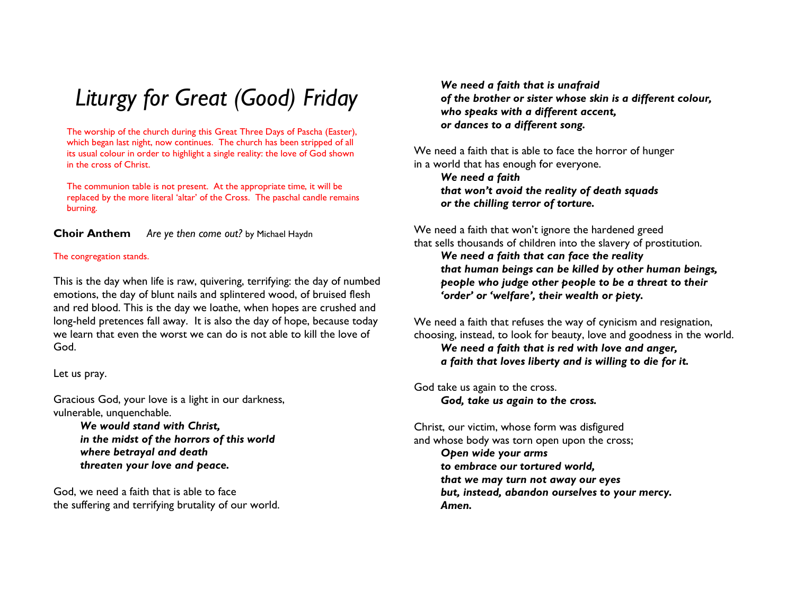# Liturgy for Great (Good) Friday

The worship of the church during this Great Three Days of Pascha (Easter), which began last night, now continues. The church has been stripped of all its usual colour in order to highlight a single reality: the love of God shown in the cross of Christ.

The communion table is not present. At the appropriate time, it will be replaced by the more literal 'altar' of the Cross. The paschal candle remains burning.

Choir AnthemAre ye then come out? by Michael Haydn

## The congregation stands.

This is the day when life is raw, quivering, terrifying: the day of numbed emotions, the day of blunt nails and splintered wood, of bruised flesh and red blood. This is the day we loathe, when hopes are crushed and long-held pretences fall away. It is also the day of hope, because today we learn that even the worst we can do is not able to kill the love of God.

Let us pray.

Gracious God, your love is a light in our darkness, vulnerable, unquenchable.

> We would stand with Christ, in the midst of the horrors of this world where betrayal and death threaten your love and peace.

God, we need a faith that is able to face the suffering and terrifying brutality of our world.

We need a faith that is unafraid of the brother or sister whose skin is a different colour, who speaks with a different accent, or dances to a different song.

We need a faith that is able to face the horror of hunger in a world that has enough for everyone.

We need a faith that won't avoid the reality of death squads or the chilling terror of torture.

We need a faith that won't ignore the hardened greed that sells thousands of children into the slavery of prostitution. We need a faith that can face the reality that human beings can be killed by other human beings, people who judge other people to be a threat to their 'order' or 'welfare', their wealth or piety.

We need a faith that refuses the way of cynicism and resignation, choosing, instead, to look for beauty, love and goodness in the world.

We need a faith that is red with love and anger, a faith that loves liberty and is willing to die for it.

God take us again to the cross. God, take us again to the cross.

Christ, our victim, whose form was disfigured and whose body was torn open upon the cross; Open wide your arms to embrace our tortured world, that we may turn not away our eyes but, instead, abandon ourselves to your mercy. Amen.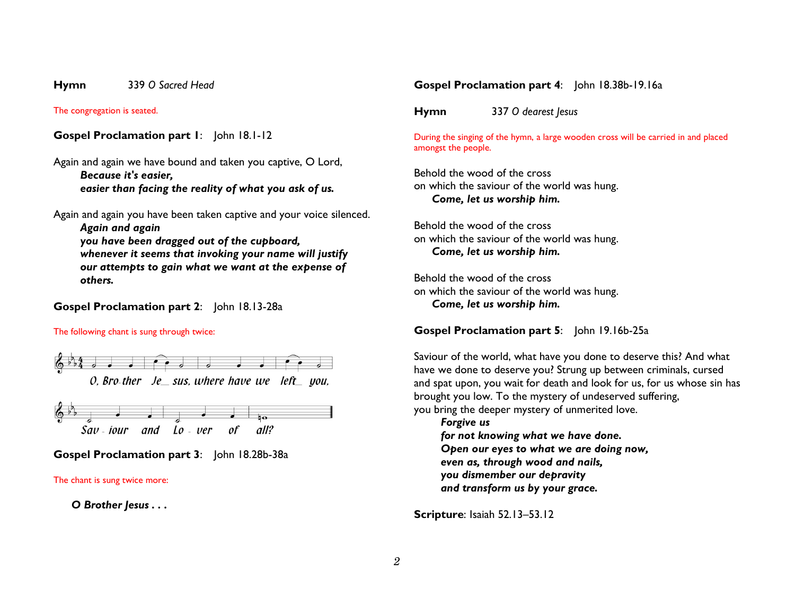#### Hymn 339 O Sacred Head

The congregation is seated.

Gospel Proclamation part 1: John 18.1-12

Again and again we have bound and taken you captive, O Lord, Because it's easier, easier than facing the reality of what you ask of us.

Again and again you have been taken captive and your voice silenced.

Again and again

 you have been dragged out of the cupboard, whenever it seems that invoking your name will justify our attempts to gain what we want at the expense ofothers.

Gospel Proclamation part 2: John 18.13-28a

The following chant is sung through twice:





Gospel Proclamation part 3: John 18.28b-38a

The chant is sung twice more:

O Brother Jesus . . .

## Gospel Proclamation part 4: John 18.38b-19.16a

Hymn<sup>337</sup> O dearest Jesus

During the singing of the hymn, a large wooden cross will be carried in and placed amongst the people.

Behold the wood of the cross on which the saviour of the world was hung. Come, let us worship him.

Behold the wood of the cross on which the saviour of the world was hung. Come, let us worship him.

Behold the wood of the cross on which the saviour of the world was hung. Come, let us worship him.

Gospel Proclamation part 5: John 19.16b-25a

Saviour of the world, what have you done to deserve this? And what have we done to deserve you? Strung up between criminals, cursed and spat upon, you wait for death and look for us, for us whose sin has brought you low. To the mystery of undeserved suffering, you bring the deeper mystery of unmerited love.

Forgive us for not knowing what we have done. Open our eyes to what we are doing now, even as, through wood and nails, you dismember our depravity and transform us by your grace.

Scripture: Isaiah 52.13–53.12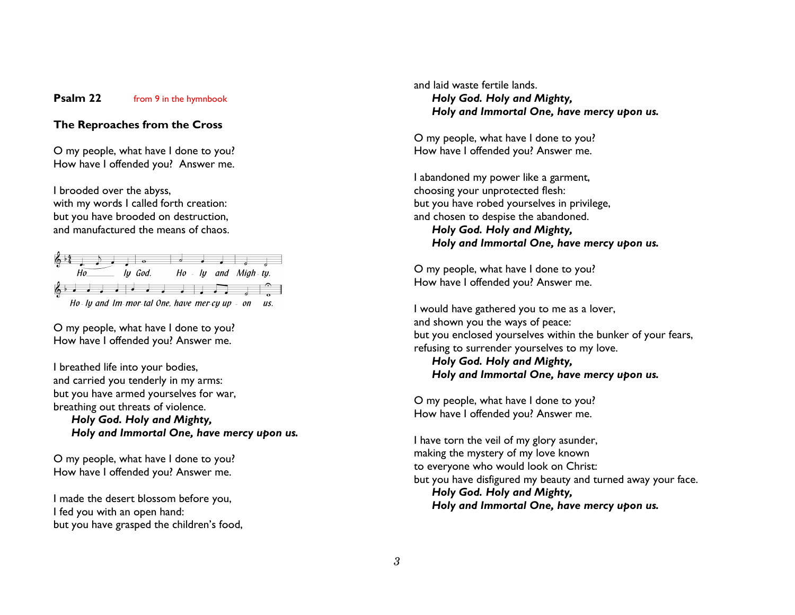#### Psalm 22 from 9 in the hymnbook

## The Reproaches from the Cross

O my people, what have I done to you? How have I offended you? Answer me.

I brooded over the abyss, with my words I called forth creation: but you have brooded on destruction, and manufactured the means of chaos.



O my people, what have I done to you? How have I offended you? Answer me.

I breathed life into your bodies, and carried you tenderly in my arms: but you have armed yourselves for war, breathing out threats of violence. Holy God. Holy and Mighty, Holy and Immortal One, have mercy upon us.

O my people, what have I done to you? How have I offended you? Answer me.

I made the desert blossom before you, I fed you with an open hand: but you have grasped the children's food, and laid waste fertile lands. Holy God. Holy and Mighty, Holy and Immortal One, have mercy upon us.

O my people, what have I done to you? How have I offended you? Answer me.

I abandoned my power like a garment, choosing your unprotected flesh: but you have robed yourselves in privilege, and chosen to despise the abandoned. Holy God. Holy and Mighty, Holy and Immortal One, have mercy upon us.

O my people, what have I done to you? How have I offended you? Answer me.

I would have gathered you to me as a lover, and shown you the ways of peace: but you enclosed yourselves within the bunker of your fears, refusing to surrender yourselves to my love.

Holy God. Holy and Mighty, Holy and Immortal One, have mercy upon us.

O my people, what have I done to you? How have I offended you? Answer me.

I have torn the veil of my glory asunder, making the mystery of my love known to everyone who would look on Christ: but you have disfigured my beauty and turned away your face. Holy God. Holy and Mighty, Holy and Immortal One, have mercy upon us.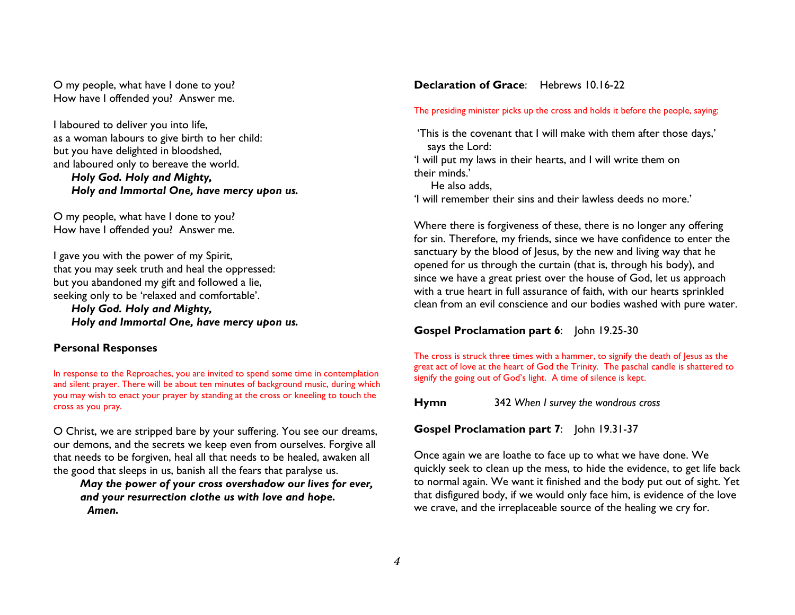O my people, what have I done to you? How have I offended you? Answer me.

I laboured to deliver you into life, as a woman labours to give birth to her child: but you have delighted in bloodshed, and laboured only to bereave the world. Holy God. Holy and Mighty, Holy and Immortal One, have mercy upon us.

O my people, what have I done to you? How have I offended you? Answer me.

I gave you with the power of my Spirit, that you may seek truth and heal the oppressed: but you abandoned my gift and followed a lie, seeking only to be 'relaxed and comfortable'.

Holy God. Holy and Mighty, Holy and Immortal One, have mercy upon us.

## Personal Responses

In response to the Reproaches, you are invited to spend some time in contemplation and silent prayer. There will be about ten minutes of background music, during which you may wish to enact your prayer by standing at the cross or kneeling to touch the cross as you pray.

O Christ, we are stripped bare by your suffering. You see our dreams, our demons, and the secrets we keep even from ourselves. Forgive all that needs to be forgiven, heal all that needs to be healed, awaken all the good that sleeps in us, banish all the fears that paralyse us.

## May the power of your cross overshadow our lives for ever, and your resurrection clothe us with love and hope.Amen.

## Declaration of Grace: Hebrews 10.16-22

#### The presiding minister picks up the cross and holds it before the people, saying:

 'This is the covenant that I will make with them after those days,' says the Lord: 'I will put my laws in their hearts, and I will write them on

their minds.'

He also adds,

'I will remember their sins and their lawless deeds no more.'

Where there is forgiveness of these, there is no longer any offering for sin. Therefore, my friends, since we have confidence to enter the sanctuary by the blood of Jesus, by the new and living way that he opened for us through the curtain (that is, through his body), and since we have a great priest over the house of God, let us approach with a true heart in full assurance of faith, with our hearts sprinkled clean from an evil conscience and our bodies washed with pure water.

## Gospel Proclamation part 6: John 19.25-30

The cross is struck three times with a hammer, to signify the death of Jesus as the great act of love at the heart of God the Trinity. The paschal candle is shattered to signify the going out of God's light. A time of silence is kept.

**Hymn** 342 When I survey the wondrous cross

Gospel Proclamation part 7: John 19.31-37

Once again we are loathe to face up to what we have done. We quickly seek to clean up the mess, to hide the evidence, to get life back to normal again. We want it finished and the body put out of sight. Yet that disfigured body, if we would only face him, is evidence of the love we crave, and the irreplaceable source of the healing we cry for.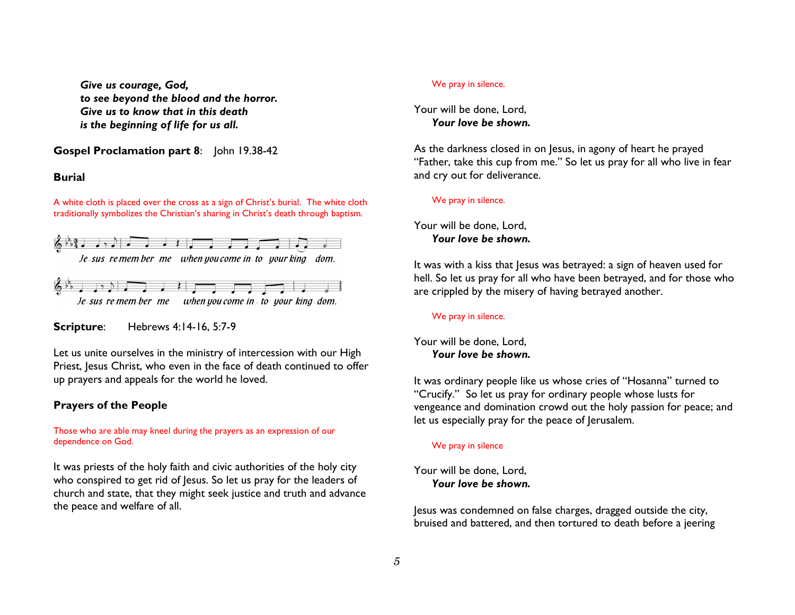Give us courage, God, to see beyond the blood and the horror. Give us to know that in this death is the beginning of life for us all.

Gospel Proclamation part 8: John 19.38-42

## Burial

A white cloth is placed over the cross as a sign of Christ's burial. The white cloth traditionally symbolizes the Christian's sharing in Christ's death through baptism.



Je-sus re-mem-ber me when you come in to your king-dom.

Scripture: Hebrews 4:14-16, 5:7-9

Let us unite ourselves in the ministry of intercession with our High Priest, Jesus Christ, who even in the face of death continued to offer up prayers and appeals for the world he loved.

## Prayers of the People

## Those who are able may kneel during the prayers as an expression of our dependence on God.

It was priests of the holy faith and civic authorities of the holy city who conspired to get rid of Jesus. So let us pray for the leaders of church and state, that they might seek justice and truth and advance the peace and welfare of all.

#### We pray in silence.

## Your will be done, Lord, Your love be shown.

As the darkness closed in on Jesus, in agony of heart he prayed "Father, take this cup from me." So let us pray for all who live in fear and cry out for deliverance.

## We pray in silence.

Your will be done, Lord, Your love be shown.

It was with a kiss that Jesus was betrayed: a sign of heaven used for hell. So let us pray for all who have been betrayed, and for those who are crippled by the misery of having betrayed another.

## We pray in silence.

Your will be done, Lord, Your love be shown.

It was ordinary people like us whose cries of "Hosanna" turned to "Crucify." So let us pray for ordinary people whose lusts for vengeance and domination crowd out the holy passion for peace; and let us especially pray for the peace of Jerusalem.

## We pray in silence

Your will be done, Lord, Your love be shown.

Jesus was condemned on false charges, dragged outside the city, bruised and battered, and then tortured to death before a jeering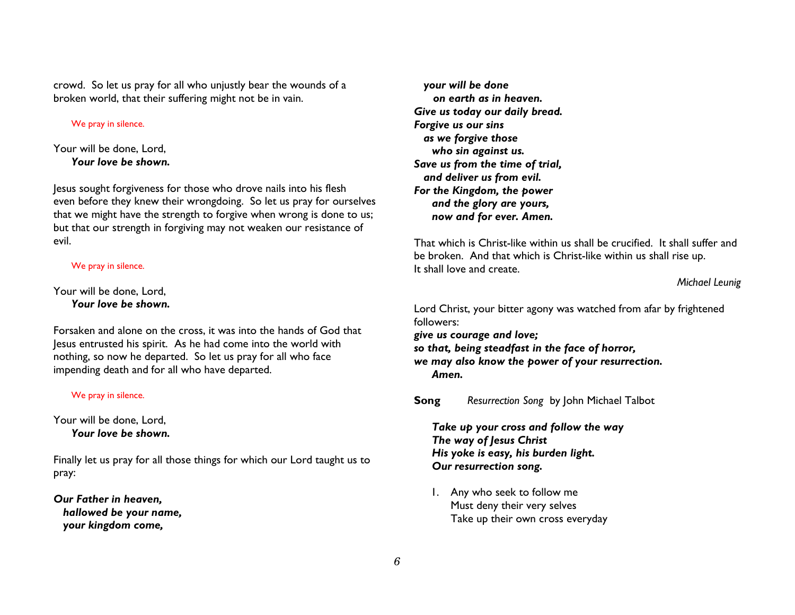crowd. So let us pray for all who unjustly bear the wounds of a broken world, that their suffering might not be in vain.

## We pray in silence.

## Your will be done, Lord, Your love be shown.

Jesus sought forgiveness for those who drove nails into his flesh even before they knew their wrongdoing. So let us pray for ourselves that we might have the strength to forgive when wrong is done to us; but that our strength in forgiving may not weaken our resistance of evil.

## We pray in silence.

Your will be done, Lord, Your love be shown.

Forsaken and alone on the cross, it was into the hands of God that Jesus entrusted his spirit. As he had come into the world with nothing, so now he departed. So let us pray for all who face impending death and for all who have departed.

## We pray in silence.

Your will be done, Lord, Your love be shown.

Finally let us pray for all those things for which our Lord taught us to pray:

Our Father in heaven, hallowed be your name, your kingdom come,

 your will be done on earth as in heaven. Give us today our daily bread. Forgive us our sins as we forgive those who sin against us. Save us from the time of trial, and deliver us from evil. For the Kingdom, the power and the glory are yours, now and for ever. Amen.

That which is Christ-like within us shall be crucified. It shall suffer and be broken. And that which is Christ-like within us shall rise up. It shall love and create.

Michael Leunig

Lord Christ, your bitter agony was watched from afar by frightened followers:

 give us courage and love; so that, being steadfast in the face of horror, we may also know the power of your resurrection. Amen.

SongResurrection Song by John Michael Talbot

Take up your cross and follow the way The way of Jesus Christ His yoke is easy, his burden light. Our resurrection song.

1. Any who seek to follow me Must deny their very selves Take up their own cross everyday